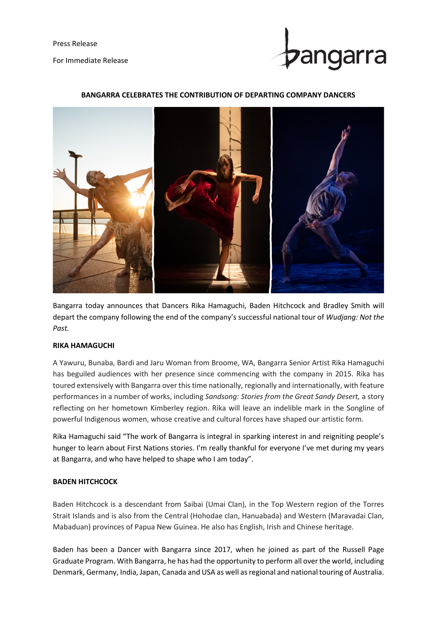Press Release For Immediate Release



## **BANGARRA CELEBRATES THE CONTRIBUTION OF DEPARTING COMPANY DANCERS**



Bangarra today announces that Dancers Rika Hamaguchi, Baden Hitchcock and Bradley Smith will depart the company following the end of the company's successful national tour of *Wudjang: Not the Past.*

### **RIKA HAMAGUCHI**

A Yawuru, Bunaba, Bardi and Jaru Woman from Broome, WA, Bangarra Senior Artist Rika Hamaguchi has beguiled audiences with her presence since commencing with the company in 2015. Rika has toured extensively with Bangarra over this time nationally, regionally and internationally, with feature performances in a number of works, including *Sandsong: Stories from the Great Sandy Desert,* a story reflecting on her hometown Kimberley region. Rika will leave an indelible mark in the Songline of powerful Indigenous women, whose creative and cultural forces have shaped our artistic form.

Rika Hamaguchi said "The work of Bangarra is integral in sparking interest in and reigniting people's hunger to learn about First Nations stories. I'm really thankful for everyone I've met during my years at Bangarra, and who have helped to shape who I am today".

### **BADEN HITCHCOCK**

Baden Hitchcock is a descendant from Saibai (Umai Clan), in the Top Western region of the Torres Strait Islands and is also from the Central (Hohodae clan, Hanuabada) and Western (Maravadai Clan, Mabaduan) provinces of Papua New Guinea. He also has English, Irish and Chinese heritage.

Baden has been a Dancer with Bangarra since 2017, when he joined as part of the Russell Page Graduate Program. With Bangarra, he has had the opportunity to perform all over the world, including Denmark, Germany, India, Japan, Canada and USA as well as regional and national touring of Australia.